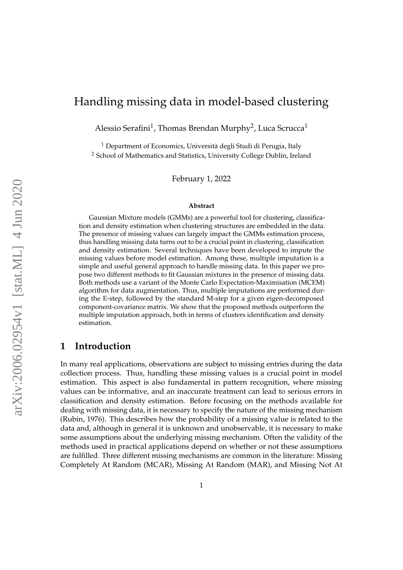# Handling missing data in model-based clustering

Alessio Serafini<sup>1</sup>, Thomas Brendan Murphy<sup>2</sup>, Luca Scrucca<sup>1</sup>

<sup>1</sup> Department of Economics, Università degli Studi di Perugia, Italy <sup>2</sup> School of Mathematics and Statistics, University College Dublin, Ireland

February 1, 2022

#### **Abstract**

Gaussian Mixture models (GMMs) are a powerful tool for clustering, classification and density estimation when clustering structures are embedded in the data. The presence of missing values can largely impact the GMMs estimation process, thus handling missing data turns out to be a crucial point in clustering, classification and density estimation. Several techniques have been developed to impute the missing values before model estimation. Among these, multiple imputation is a simple and useful general approach to handle missing data. In this paper we propose two different methods to fit Gaussian mixtures in the presence of missing data. Both methods use a variant of the Monte Carlo Expectation-Maximisation (MCEM) algorithm for data augmentation. Thus, multiple imputations are performed during the E-step, followed by the standard M-step for a given eigen-decomposed component-covariance matrix. We show that the proposed methods outperform the multiple imputation approach, both in terms of clusters identification and density estimation.

# **1 Introduction**

In many real applications, observations are subject to missing entries during the data collection process. Thus, handling these missing values is a crucial point in model estimation. This aspect is also fundamental in pattern recognition, where missing values can be informative, and an inaccurate treatment can lead to serious errors in classification and density estimation. Before focusing on the methods available for dealing with missing data, it is necessary to specify the nature of the missing mechanism [\(Rubin,](#page-25-0) [1976\)](#page-25-0). This describes how the probability of a missing value is related to the data and, although in general it is unknown and unobservable, it is necessary to make some assumptions about the underlying missing mechanism. Often the validity of the methods used in practical applications depend on whether or not these assumptions are fulfilled. Three different missing mechanisms are common in the literature: Missing Completely At Random (MCAR), Missing At Random (MAR), and Missing Not At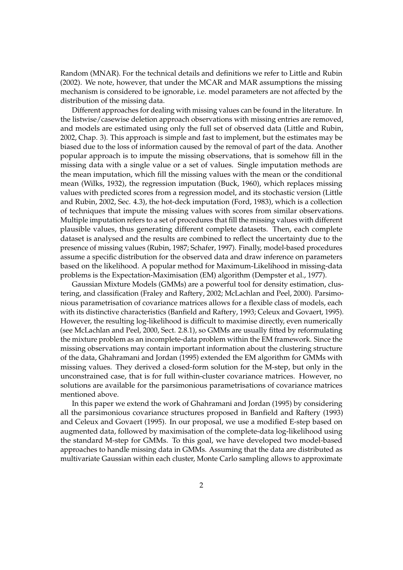Random (MNAR). For the technical details and definitions we refer to [Little and Rubin](#page-24-0) [\(2002\)](#page-24-0). We note, however, that under the MCAR and MAR assumptions the missing mechanism is considered to be ignorable, i.e. model parameters are not affected by the distribution of the missing data.

Different approaches for dealing with missing values can be found in the literature. In the listwise/casewise deletion approach observations with missing entries are removed, and models are estimated using only the full set of observed data [\(Little and Rubin,](#page-24-0) [2002,](#page-24-0) Chap. 3). This approach is simple and fast to implement, but the estimates may be biased due to the loss of information caused by the removal of part of the data. Another popular approach is to impute the missing observations, that is somehow fill in the missing data with a single value or a set of values. Single imputation methods are the mean imputation, which fill the missing values with the mean or the conditional mean [\(Wilks,](#page-25-1) [1932\)](#page-25-1), the regression imputation [\(Buck,](#page-23-0) [1960\)](#page-23-0), which replaces missing values with predicted scores from a regression model, and its stochastic version [\(Little](#page-24-0) [and Rubin,](#page-24-0) [2002,](#page-24-0) Sec. 4.3), the hot-deck imputation [\(Ford,](#page-24-1) [1983\)](#page-24-1), which is a collection of techniques that impute the missing values with scores from similar observations. Multiple imputation refers to a set of procedures that fill the missing values with different plausible values, thus generating different complete datasets. Then, each complete dataset is analysed and the results are combined to reflect the uncertainty due to the presence of missing values [\(Rubin,](#page-25-2) [1987;](#page-25-2) [Schafer,](#page-25-3) [1997\)](#page-25-3). Finally, model-based procedures assume a specific distribution for the observed data and draw inference on parameters based on the likelihood. A popular method for Maximum-Likelihood in missing-data problems is the Expectation-Maximisation (EM) algorithm [\(Dempster et al.,](#page-24-2) [1977\)](#page-24-2).

Gaussian Mixture Models (GMMs) are a powerful tool for density estimation, clustering, and classification [\(Fraley and Raftery,](#page-24-3) [2002;](#page-24-3) [McLachlan and Peel,](#page-24-4) [2000\)](#page-24-4). Parsimonious parametrisation of covariance matrices allows for a flexible class of models, each with its distinctive characteristics [\(Banfield and Raftery,](#page-23-1) [1993;](#page-23-1) [Celeux and Govaert,](#page-24-5) [1995\)](#page-24-5). However, the resulting log-likelihood is difficult to maximise directly, even numerically (see McLachlan and Peel, 2000, Sect. 2.8.1), so GMMs are usually fitted by reformulating the mixture problem as an incomplete-data problem within the EM framework. Since the missing observations may contain important information about the clustering structure of the data, [Ghahramani and Jordan](#page-24-6) [\(1995\)](#page-24-6) extended the EM algorithm for GMMs with missing values. They derived a closed-form solution for the M-step, but only in the unconstrained case, that is for full within-cluster covariance matrices. However, no solutions are available for the parsimonious parametrisations of covariance matrices mentioned above.

In this paper we extend the work of [Ghahramani and Jordan](#page-24-6) [\(1995\)](#page-24-6) by considering all the parsimonious covariance structures proposed in [Banfield and Raftery](#page-23-1) [\(1993\)](#page-23-1) and [Celeux and Govaert](#page-24-5) [\(1995\)](#page-24-5). In our proposal, we use a modified E-step based on augmented data, followed by maximisation of the complete-data log-likelihood using the standard M-step for GMMs. To this goal, we have developed two model-based approaches to handle missing data in GMMs. Assuming that the data are distributed as multivariate Gaussian within each cluster, Monte Carlo sampling allows to approximate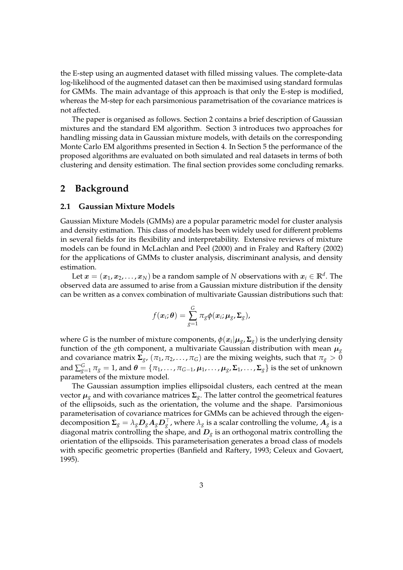the E-step using an augmented dataset with filled missing values. The complete-data log-likelihood of the augmented dataset can then be maximised using standard formulas for GMMs. The main advantage of this approach is that only the E-step is modified, whereas the M-step for each parsimonious parametrisation of the covariance matrices is not affected.

The paper is organised as follows. Section 2 contains a brief description of Gaussian mixtures and the standard EM algorithm. Section 3 introduces two approaches for handling missing data in Gaussian mixture models, with details on the corresponding Monte Carlo EM algorithms presented in Section 4. In Section 5 the performance of the proposed algorithms are evaluated on both simulated and real datasets in terms of both clustering and density estimation. The final section provides some concluding remarks.

# **2 Background**

#### <span id="page-2-0"></span>**2.1 Gaussian Mixture Models**

Gaussian Mixture Models (GMMs) are a popular parametric model for cluster analysis and density estimation. This class of models has been widely used for different problems in several fields for its flexibility and interpretability. Extensive reviews of mixture models can be found in [McLachlan and Peel](#page-24-4) [\(2000\)](#page-24-4) and in [Fraley and Raftery](#page-24-3) [\(2002\)](#page-24-3) for the applications of GMMs to cluster analysis, discriminant analysis, and density estimation.

Let  $\bm{x}=(\bm{x}_1,\bm{x}_2,\dots,\bm{x}_N)$  be a random sample of  $N$  observations with  $\bm{x}_i\in\mathbb{R}^d.$  The observed data are assumed to arise from a Gaussian mixture distribution if the density can be written as a convex combination of multivariate Gaussian distributions such that:

$$
f(\boldsymbol{x}_i;\boldsymbol{\theta})=\sum_{g=1}^G\pi_g\boldsymbol{\phi}(\boldsymbol{x}_i;\boldsymbol{\mu}_g,\boldsymbol{\Sigma}_g),
$$

where  $G$  is the number of mixture components,  $\phi(x_i|\boldsymbol{\mu}_g, \boldsymbol{\Sigma}_g)$  is the underlying density function of the *g*th component, a multivariate Gaussian distribution with mean  $\mu_{g}$ and covariance matrix  $\Sigma_g$ ,  $(\pi_1, \pi_2, ..., \pi_G)$  are the mixing weights, such that  $\pi_g > 0$ and  $\sum_{g=1}^G\pi_g=1$ , and  $\bm{\theta}=\{\pi_1,\ldots,\pi_{G-1},\bm{\mu}_1,\ldots,\bm{\mu}_g$ ,  $\bm{\Sigma}_1,\ldots,\bm{\Sigma}_g\}$  is the set of unknown parameters of the mixture model.

The Gaussian assumption implies ellipsoidal clusters, each centred at the mean vector µ*<sup>g</sup>* and with covariance matrices **Σ***g*. The latter control the geometrical features of the ellipsoids, such as the orientation, the volume and the shape. Parsimonious parameterisation of covariance matrices for GMMs can be achieved through the eigendecomposition  $\bm{\Sigma}_g=\lambda_g\bm{D}_g\bm{A}_g\bm{D}_g^\top$ , where  $\lambda_g$  is a scalar controlling the volume,  $\bm{A}_g$  is a diagonal matrix controlling the shape, and  $D_g$  is an orthogonal matrix controlling the orientation of the ellipsoids. This parameterisation generates a broad class of models with specific geometric properties [\(Banfield and Raftery,](#page-23-1) [1993;](#page-23-1) [Celeux and Govaert,](#page-24-5) [1995\)](#page-24-5).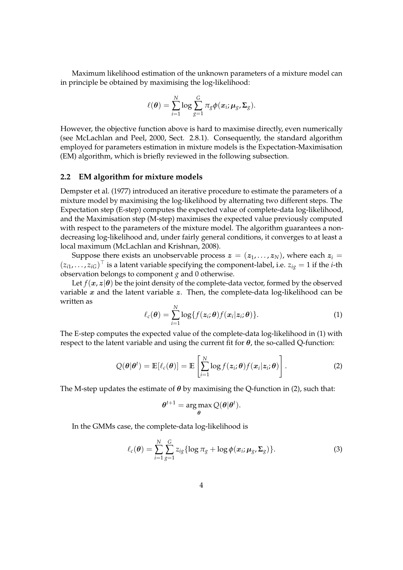Maximum likelihood estimation of the unknown parameters of a mixture model can in principle be obtained by maximising the log-likelihood:

$$
\ell(\boldsymbol{\theta}) = \sum_{i=1}^N \log \sum_{g=1}^G \pi_g \phi(\boldsymbol{x}_i; \boldsymbol{\mu}_g, \boldsymbol{\Sigma}_g).
$$

However, the objective function above is hard to maximise directly, even numerically (see [McLachlan and Peel,](#page-24-4) [2000,](#page-24-4) Sect. 2.8.1). Consequently, the standard algorithm employed for parameters estimation in mixture models is the Expectation-Maximisation (EM) algorithm, which is briefly reviewed in the following subsection.

#### **2.2 EM algorithm for mixture models**

[Dempster et al.](#page-24-2) [\(1977\)](#page-24-2) introduced an iterative procedure to estimate the parameters of a mixture model by maximising the log-likelihood by alternating two different steps. The Expectation step (E-step) computes the expected value of complete-data log-likelihood, and the Maximisation step (M-step) maximises the expected value previously computed with respect to the parameters of the mixture model. The algorithm guarantees a nondecreasing log-likelihood and, under fairly general conditions, it converges to at least a local maximum [\(McLachlan and Krishnan,](#page-24-7) [2008\)](#page-24-7).

Suppose there exists an unobservable process  $z = (z_1, \ldots, z_N)$ , where each  $z_i =$  $(z_{i1}, \ldots, z_{iG})^{\top}$  is a latent variable specifying the component-label, i.e.  $z_{ig} = 1$  if the *i*-th observation belongs to component *g* and 0 otherwise.

Let  $f(x, z | \theta)$  be the joint density of the complete-data vector, formed by the observed variable  $x$  and the latent variable  $z$ . Then, the complete-data log-likelihood can be written as

<span id="page-3-0"></span>
$$
\ell_c(\boldsymbol{\theta}) = \sum_{i=1}^N \log\{f(\boldsymbol{z}_i;\boldsymbol{\theta})f(\boldsymbol{x}_i|\boldsymbol{z}_i;\boldsymbol{\theta})\}.
$$
 (1)

The E-step computes the expected value of the complete-data log-likelihood in [\(1\)](#page-3-0) with respect to the latent variable and using the current fit for  $\theta$ , the so-called Q-function:

<span id="page-3-1"></span>
$$
Q(\boldsymbol{\theta}|\boldsymbol{\theta}^t) = \mathbb{E}[\ell_c(\boldsymbol{\theta})] = \mathbb{E}\left[\sum_{i=1}^N \log f(z_i;\boldsymbol{\theta}) f(x_i|z_i;\boldsymbol{\theta})\right].
$$
 (2)

The M-step updates the estimate of  $\theta$  by maximising the Q-function in [\(2\)](#page-3-1), such that:

$$
\boldsymbol{\theta}^{t+1} = \argmax_{\boldsymbol{\theta}} Q(\boldsymbol{\theta}|\boldsymbol{\theta}^t).
$$

In the GMMs case, the complete-data log-likelihood is

<span id="page-3-2"></span>
$$
\ell_c(\boldsymbol{\theta}) = \sum_{i=1}^N \sum_{g=1}^G z_{ig} \{ \log \pi_g + \log \phi(\boldsymbol{x}_i; \boldsymbol{\mu}_g, \boldsymbol{\Sigma}_g) \}.
$$
 (3)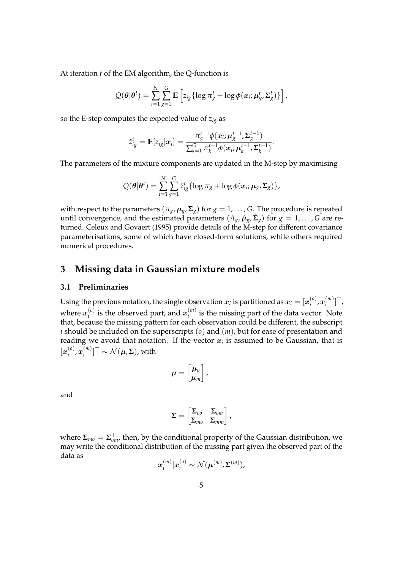At iteration *t* of the EM algorithm, the Q-function is

$$
Q(\boldsymbol{\theta}|\boldsymbol{\theta}^{t}) = \sum_{i=1}^{N} \sum_{g=1}^{G} \mathbb{E}\left[z_{ig} \{\log \pi_g^t + \log \phi(\boldsymbol{x}_i; \boldsymbol{\mu}_g^t, \boldsymbol{\Sigma}_g^t)\}\right],
$$

so the E-step computes the expected value of  $z_{ig}$  as

$$
\hat{z}_{ig}^t = \mathbb{E}[z_{ig}|\mathbf{x}_i] = \frac{\pi_g^{t-1}\phi(\mathbf{x}_i;\boldsymbol{\mu}_g^{t-1},\boldsymbol{\Sigma}_g^{t-1})}{\sum_{k=1}^G \pi_k^{t-1}\phi(\mathbf{x}_i;\boldsymbol{\mu}_k^{t-1},\boldsymbol{\Sigma}_k^{t-1})}.
$$

The parameters of the mixture components are updated in the M-step by maximising

$$
Q(\boldsymbol{\theta}|\boldsymbol{\theta}^{t}) = \sum_{i=1}^{N} \sum_{g=1}^{G} \hat{z}_{ig}^{t} \{ \log \pi_{g} + \log \phi(\boldsymbol{x}_{i}; \boldsymbol{\mu}_{g}, \boldsymbol{\Sigma}_{g}) \},
$$

with respect to the parameters  $(\pi_g, \mu_g, \Sigma_g)$  for  $g = 1, \ldots, G$ . The procedure is repeated until convergence, and the estimated parameters  $(\hat{\pi}_g, \hat{\mu}_g, \hat{\Sigma}_g)$  for  $g = 1, \ldots, G$  are returned. [Celeux and Govaert](#page-24-5) [\(1995\)](#page-24-5) provide details of the M-step for different covariance parameterisations, some of which have closed-form solutions, while others required numerical procedures.

## **3 Missing data in Gaussian mixture models**

### **3.1 Preliminaries**

Using the previous notation, the single observation  $x_i$  is partitioned as  $x_i = [x_i^{(o)}]$  $\boldsymbol{x}_i^{(o)}$  ,  $\boldsymbol{x}_i^{(m)}$  $\binom{m}{i}$ <sup>T</sup>, where  $x_i^{(o)}$  $i^{(o)}_i$  is the observed part, and  $\boldsymbol{x}^{(m)}_i$  $i^{(m)}$  is the missing part of the data vector. Note that, because the missing pattern for each observation could be different, the subscript *i* should be included on the superscripts (*o*) and (*m*), but for ease of presentation and reading we avoid that notation. If the vector  $x_i$  is assumed to be Gaussian, that is  $[\pmb{x}^{(o)}_i$  $\left( \begin{smallmatrix} o\ i \end{smallmatrix} \right)$  ,  $\boldsymbol{x}_{i}^{(m)}$  $[\boldsymbol{\mu}^{(m)}]^\top \sim \mathcal{N}(\boldsymbol{\mu}, \boldsymbol{\Sigma})$ , with

$$
\mu=\begin{bmatrix} \mu_o \\ \mu_m \end{bmatrix},
$$

and

$$
\Sigma = \begin{bmatrix} \Sigma_{oo} & \Sigma_{om} \\ \Sigma_{mo} & \Sigma_{mm} \end{bmatrix},
$$

where **Σ***mo* = **Σ** > *om*, then, by the conditional property of the Gaussian distribution, we may write the conditional distribution of the missing part given the observed part of the data as

$$
\boldsymbol{x}_i^{(m)}|\boldsymbol{x}_i^{(o)} \sim \mathcal{N}(\boldsymbol{\mu}^{(m)},\boldsymbol{\Sigma}^{(m)}),
$$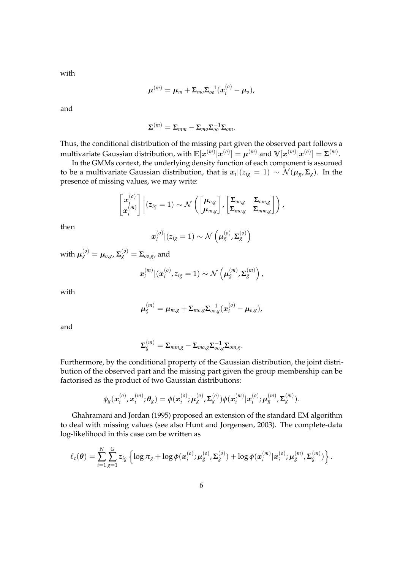with

$$
\boldsymbol{\mu}^{(m)} = \boldsymbol{\mu}_m + \boldsymbol{\Sigma}_{mo} \boldsymbol{\Sigma}_{oo}^{-1} (\boldsymbol{x}_i^{(o)} - \boldsymbol{\mu}_o),
$$

and

$$
\mathbf{\Sigma}^{(m)}=\mathbf{\Sigma}_{mm}-\mathbf{\Sigma}_{mo}\mathbf{\Sigma}_{oo}^{-1}\mathbf{\Sigma}_{om}.
$$

Thus, the conditional distribution of the missing part given the observed part follows a  ${\rm multivariate}$  Gaussian distribution, with  ${\mathbb E}[{\bm x}^{(m)}|{\bm x}^{(o)}] = {\bm \mu}^{(m)}$  and  ${\mathbb V}[{\bm x}^{(m)}|{\bm x}^{(o)}] = \mathsf{\Sigma}^{(m)}.$ 

In the GMMs context, the underlying density function of each component is assumed to be a multivariate Gaussian distribution, that is  $x_i|(z_{ig}=1)\sim\mathcal{N}(\pmb{\mu}_g,\pmb{\Sigma}_g).$  In the presence of missing values, we may write:

$$
\begin{bmatrix} x_i^{(o)} \\ x_i^{(m)} \end{bmatrix} \bigg| (z_{ig} = 1) \sim \mathcal{N} \left( \begin{bmatrix} \mu_{o,g} \\ \mu_{m,g} \end{bmatrix}, \begin{bmatrix} \Sigma_{oo,g} & \Sigma_{om,g} \\ \Sigma_{mo,g} & \Sigma_{mm,g} \end{bmatrix} \right),
$$

then

$$
\boldsymbol{x}_i^{(o)}|(z_{ig}=1) \sim \mathcal{N}\left(\boldsymbol{\mu}_g^{(o)}, \boldsymbol{\Sigma}_g^{(o)}\right)
$$

 ${\mathbf w}$ ith  ${\boldsymbol \mu}^{(o)}_g = {\boldsymbol \mu}_{o,g}$ ,  ${\boldsymbol \Sigma}^{(o)}_g = {\boldsymbol \Sigma}_{oo,g}$ , and

$$
\boldsymbol{x}_i^{(m)}|(\boldsymbol{x}_i^{(o)}, z_{ig}=1) \sim \mathcal{N}\left(\boldsymbol{\mu}_{g}^{(m)}, \boldsymbol{\Sigma}_{g}^{(m)}\right),
$$

with

$$
\boldsymbol{\mu}_{g}^{(m)} = \boldsymbol{\mu}_{m,g} + \boldsymbol{\Sigma}_{mo,g} \boldsymbol{\Sigma}_{oo,g}^{-1} (\boldsymbol{x}_i^{(o)} - \boldsymbol{\mu}_{o,g}),
$$

and

$$
\Sigma_{g}^{(m)}=\Sigma_{mm,g}-\Sigma_{mo,g}\Sigma_{oo,g}^{-1}\Sigma_{om,g}.
$$

Furthermore, by the conditional property of the Gaussian distribution, the joint distribution of the observed part and the missing part given the group membership can be factorised as the product of two Gaussian distributions:

$$
\phi_g(\mathbf{x}_i^{(o)}, \mathbf{x}_i^{(m)}; \theta_g) = \phi(\mathbf{x}_i^{(o)}; \mu_g^{(o)}, \Sigma_g^{(o)})\phi(\mathbf{x}_i^{(m)}|\mathbf{x}_i^{(o)}; \mu_g^{(m)}, \Sigma_g^{(m)}).
$$

[Ghahramani and Jordan](#page-24-6) [\(1995\)](#page-24-6) proposed an extension of the standard EM algorithm to deal with missing values (see also [Hunt and Jorgensen,](#page-24-8) [2003\)](#page-24-8). The complete-data log-likelihood in this case can be written as

$$
\ell_c(\boldsymbol{\theta}) = \sum_{i=1}^N \sum_{g=1}^G z_{ig} \left\{ \log \pi_g + \log \phi(\boldsymbol{x}_i^{(o)}; \boldsymbol{\mu}_g^{(o)}, \boldsymbol{\Sigma}_g^{(o)}) + \log \phi(\boldsymbol{x}_i^{(m)} | \boldsymbol{x}_i^{(o)}; \boldsymbol{\mu}_g^{(m)}, \boldsymbol{\Sigma}_g^{(m)}) \right\}.
$$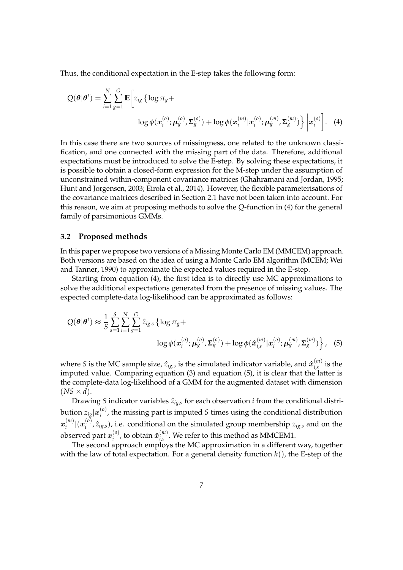Thus, the conditional expectation in the E-step takes the following form:

<span id="page-6-0"></span>
$$
Q(\theta|\theta^{t}) = \sum_{i=1}^{N} \sum_{g=1}^{G} \mathbb{E} \left[ z_{ig} \left\{ \log \pi_{g} + \log \left( z_{ig}^{(o)} \right) \mu_{g}^{(o)}, \mathbf{\Sigma}_{g}^{(o)} \right\} + \log \phi(x_{i}^{(m)} | \mathbf{x}_{i}^{(o)}; \mu_{g}^{(m)}, \mathbf{\Sigma}_{g}^{(m)}) \right\} \bigg| \mathbf{x}_{i}^{(o)} \bigg]. \tag{4}
$$

In this case there are two sources of missingness, one related to the unknown classification, and one connected with the missing part of the data. Therefore, additional expectations must be introduced to solve the E-step. By solving these expectations, it is possible to obtain a closed-form expression for the M-step under the assumption of unconstrained within-component covariance matrices [\(Ghahramani and Jordan,](#page-24-6) [1995;](#page-24-6) [Hunt and Jorgensen,](#page-24-8) [2003;](#page-24-8) [Eirola et al.,](#page-24-9) [2014\)](#page-24-9). However, the flexible parameterisations of the covariance matrices described in Section [2.1](#page-2-0) have not been taken into account. For this reason, we aim at proposing methods to solve the *Q*-function in [\(4\)](#page-6-0) for the general family of parsimonious GMMs.

#### **3.2 Proposed methods**

In this paper we propose two versions of a Missing Monte Carlo EM (MMCEM) approach. Both versions are based on the idea of using a Monte Carlo EM algorithm (MCEM; [Wei](#page-25-4) [and Tanner,](#page-25-4) [1990\)](#page-25-4) to approximate the expected values required in the E-step.

Starting from equation [\(4\)](#page-6-0), the first idea is to directly use MC approximations to solve the additional expectations generated from the presence of missing values. The expected complete-data log-likelihood can be approximated as follows:

<span id="page-6-1"></span>
$$
Q(\theta|\theta^{t}) \approx \frac{1}{S} \sum_{s=1}^{S} \sum_{i=1}^{N} \sum_{g=1}^{G} \hat{z}_{ig,s} \left\{ \log \pi_{g} + \log \phi(\mathbf{x}_{i}^{(o)}, \mathbf{y}_{g}^{(o)}, \mathbf{\Sigma}_{g}^{(o)}) + \log \phi(\hat{\mathbf{x}}_{i,s}^{(m)} | \mathbf{x}_{i}^{(o)}, \mathbf{\mu}_{g}^{(m)}, \mathbf{\Sigma}_{g}^{(m)}) \right\}, \quad (5)
$$

where *S* is the MC sample size,  $\hat{z}_{ig,s}$  is the simulated indicator variable, and  $\hat{x}_{i,s}^{(m)}$  $\binom{m}{i,s}$  is the imputed value. Comparing equation [\(3\)](#page-3-2) and equation [\(5\)](#page-6-1), it is clear that the latter is the complete-data log-likelihood of a GMM for the augmented dataset with dimension  $(NS \times d)$ .

Drawing *S* indicator variables  $\hat{z}_{ig,s}$  for each observation *i* from the conditional distribution  $z_{ig}|\boldsymbol{x}^{(o)}_i$ *i* , the missing part is imputed *S* times using the conditional distribution  $\boldsymbol{x}^{(m)}_{i}$  $\binom{m}{i} |(\boldsymbol{x}^{(o)}_i)$  $\hat{z}^{(0)}$ ,  $\hat{z}_{ig,s}$ ), i.e. conditional on the simulated group membership  $z_{ig,s}$  and on the observed part  $x_i^{(o)}$  $\hat{x}^{(o)}_{i}$ , to obtain  $\hat{x}^{(m)}_{i,s}$  $\binom{m}{i,s}$ . We refer to this method as MMCEM1.

The second approach employs the MC approximation in a different way, together with the law of total expectation. For a general density function *h*(), the E-step of the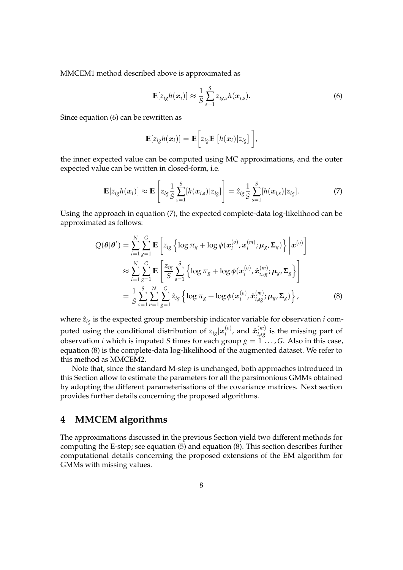MMCEM1 method described above is approximated as

<span id="page-7-0"></span>
$$
\mathbb{E}[z_{ig}h(\boldsymbol{x}_i)] \approx \frac{1}{S} \sum_{s=1}^{S} z_{ig,s}h(\boldsymbol{x}_{i,s}).
$$
\n(6)

Since equation [\(6\)](#page-7-0) can be rewritten as

<span id="page-7-2"></span>
$$
\mathbb{E}[z_{ig}h(\boldsymbol{x}_i)]=\mathbb{E}\bigg[z_{ig}\mathbb{E}\left[h(\boldsymbol{x}_i)|z_{ig}\right]\bigg],
$$

the inner expected value can be computed using MC approximations, and the outer expected value can be written in closed-form, i.e.

<span id="page-7-1"></span>
$$
\mathbb{E}[z_{ig}h(\boldsymbol{x}_i)] \approx \mathbb{E}\left[z_{ig}\frac{1}{S}\sum_{s=1}^S[h(\boldsymbol{x}_{i,s})|z_{ig}]\right] = \hat{z}_{ig}\frac{1}{S}\sum_{s=1}^S[h(\boldsymbol{x}_{i,s})|z_{ig}].
$$
\n(7)

Using the approach in equation [\(7\)](#page-7-1), the expected complete-data log-likelihood can be approximated as follows:

$$
Q(\boldsymbol{\theta}|\boldsymbol{\theta}^{t}) = \sum_{i=1}^{N} \sum_{g=1}^{G} \mathbb{E} \left[ z_{ig} \left\{ \log \pi_{g} + \log \phi(\boldsymbol{x}_{i}^{(o)}, \boldsymbol{x}_{i}^{(m)}; \boldsymbol{\mu}_{g}, \boldsymbol{\Sigma}_{g}) \right\} \bigg| \boldsymbol{x}^{(o)} \right]
$$
  
\n
$$
\approx \sum_{i=1}^{N} \sum_{g=1}^{G} \mathbb{E} \left[ \frac{z_{ig}}{S} \sum_{s=1}^{S} \left\{ \log \pi_{g} + \log \phi(\boldsymbol{x}_{i}^{(o)}, \hat{\boldsymbol{x}}_{i, sg}^{(m)}; \boldsymbol{\mu}_{g}, \boldsymbol{\Sigma}_{g} \right\} \right]
$$
  
\n
$$
= \frac{1}{S} \sum_{s=1}^{S} \sum_{n=1}^{N} \sum_{g=1}^{G} \hat{z}_{ig} \left\{ \log \pi_{g} + \log \phi(\boldsymbol{x}_{i}^{(o)}, \hat{\boldsymbol{x}}_{i, sg}^{(m)}; \boldsymbol{\mu}_{g}, \boldsymbol{\Sigma}_{g}) \right\},
$$
\n(8)

where  $\hat{z}_{ig}$  is the expected group membership indicator variable for observation  $i$  computed using the conditional distribution of  $z_{\mathit{ig}}|x_{\mathit{i}}^{(o)}\rangle$  $\hat{x}^{(n)}_{i}$ , and  $\hat{x}^{(m)}_{i,sg}$  is the missing part of observation *i* which is imputed *S* times for each group  $g = 1, \ldots, G$ . Also in this case, equation [\(8\)](#page-7-2) is the complete-data log-likelihood of the augmented dataset. We refer to this method as MMCEM2.

Note that, since the standard M-step is unchanged, both approaches introduced in this Section allow to estimate the parameters for all the parsimonious GMMs obtained by adopting the different parameterisations of the covariance matrices. Next section provides further details concerning the proposed algorithms.

# <span id="page-7-3"></span>**4 MMCEM algorithms**

The approximations discussed in the previous Section yield two different methods for computing the E-step; see equation [\(5\)](#page-6-1) and equation [\(8\)](#page-7-2). This section describes further computational details concerning the proposed extensions of the EM algorithm for GMMs with missing values.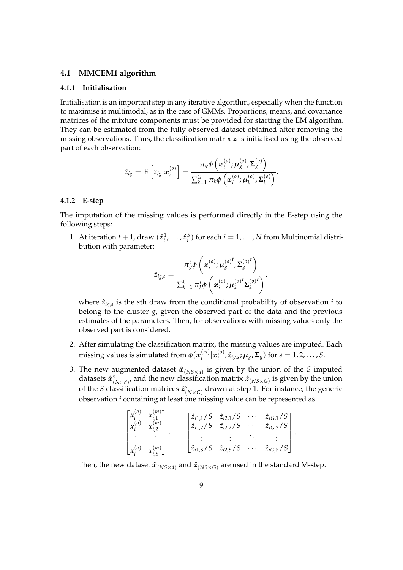#### <span id="page-8-1"></span>**4.1 MMCEM1 algorithm**

#### <span id="page-8-0"></span>**4.1.1 Initialisation**

Initialisation is an important step in any iterative algorithm, especially when the function to maximise is multimodal, as in the case of GMMs. Proportions, means, and covariance matrices of the mixture components must be provided for starting the EM algorithm. They can be estimated from the fully observed dataset obtained after removing the missing observations. Thus, the classification matrix  $z$  is initialised using the observed part of each observation:

$$
\hat{z}_{ig} = \mathbb{E}\left[z_{ig}|\boldsymbol{x}_i^{(o)}\right] = \frac{\pi_g \phi\left(\boldsymbol{x}_i^{(o)};\boldsymbol{\mu}_g^{(o)},\boldsymbol{\Sigma}_g^{(o)}\right)}{\sum_{k=1}^G \pi_k \phi\left(\boldsymbol{x}_i^{(o)};\boldsymbol{\mu}_k^{(o)},\boldsymbol{\Sigma}_k^{(o)}\right)}.
$$

#### **4.1.2 E-step**

The imputation of the missing values is performed directly in the E-step using the following steps:

1. At iteration  $t + 1$ , draw  $(\hat{z}_i^1, \ldots, \hat{z}_i^S)$  for each  $i = 1, \ldots, N$  from Multinomial distribution with parameter:

$$
\hat{z}_{ig,s}=\frac{\pi^t_g\phi\left(\boldsymbol{x}^{(o)}_i;\boldsymbol{\mu}^{(o)^t}_g,\boldsymbol{\Sigma}^{(o)^t}_g\right)}{\sum_{k=1}^G\pi^t_k\phi\left(\boldsymbol{x}^{(o)}_i;\boldsymbol{\mu}^{(o)^t}_k\boldsymbol{\Sigma}^{(o)^t}_k\right)},
$$

where  $\hat{z}_{ig,s}$  is the *s*th draw from the conditional probability of observation *i* to belong to the cluster *g*, given the observed part of the data and the previous estimates of the parameters. Then, for observations with missing values only the observed part is considered.

- 2. After simulating the classification matrix, the missing values are imputed. Each missing values is simulated from  $\phi({\bm{x}}^{(m)}_i)$  $\binom{m}{i}$  $\ket{\boldsymbol{x}_i^{(o)}}$  $\mu_g$ ,  $\hat{z}_{ig,s}$ ;  $\mu_g$ ,  $\Sigma_g$ ) for  $s = 1, 2, ..., S$ .
- 3. The new augmented dataset  $\hat{\bm{x}}_{(NS\times d)}$  is given by the union of the *S* imputed datasets  $\hat{\bm{x}}^s_{(N \times d)}$ , and the new classification matrix  $\hat{\bm{z}}_{(NS \times G)}$  is given by the union of the *S* classification matrices  $\hat{z}^s_{(N\times G)}$  drawn at step 1. For instance, the generic observation *i* containing at least one missing value can be represented as

| $\lceil x_i^{(o)} \rceil$<br>$x_i^{(o)}$       | $x_{i,1}^{(m)}$<br>$x_{i,2}^{(m)}$ | $\begin{bmatrix} \hat{z}_{i1,1}/S & \hat{z}_{i2,1}/S & \cdots \\ \hat{z}_{i1,2}/S & \hat{z}_{i2,2}/S & \cdots \end{bmatrix}$ | $\sim$ 0.00 $\sim$      | $\hat{z}_{iG,1}/S$<br>$\hat{z}_{iG,2}/S$ |
|------------------------------------------------|------------------------------------|------------------------------------------------------------------------------------------------------------------------------|-------------------------|------------------------------------------|
| $\sim 10^{-11}$<br>$\lfloor x_i^{(0)} \rfloor$ | $x_{i,S}^{(m)}$                    | $\left[\hat{z}_{i1,S}/S \quad \hat{z}_{i2,S}/S\right]$                                                                       | $\cdot$ $\cdot$ $\cdot$ | $\hat{z}_{iG,S}/S$                       |

.

Then, the new dataset  $\hat{x}_{(NS\times d)}$  and  $\hat{z}_{(NS\times G)}$  are used in the standard M-step.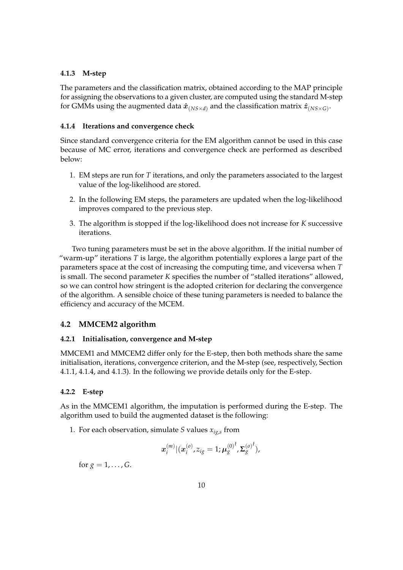### <span id="page-9-1"></span>**4.1.3 M-step**

The parameters and the classification matrix, obtained according to the MAP principle for assigning the observations to a given cluster, are computed using the standard M-step for GMMs using the augmented data  $\hat{\bm{x}}_{(NS\times d)}$  and the classification matrix  $\hat{\bm{z}}_{(NS\times G)}$ .

### <span id="page-9-0"></span>**4.1.4 Iterations and convergence check**

Since standard convergence criteria for the EM algorithm cannot be used in this case because of MC error, iterations and convergence check are performed as described below:

- 1. EM steps are run for *T* iterations, and only the parameters associated to the largest value of the log-likelihood are stored.
- 2. In the following EM steps, the parameters are updated when the log-likelihood improves compared to the previous step.
- 3. The algorithm is stopped if the log-likelihood does not increase for *K* successive iterations.

Two tuning parameters must be set in the above algorithm. If the initial number of "warm-up" iterations *T* is large, the algorithm potentially explores a large part of the parameters space at the cost of increasing the computing time, and viceversa when *T* is small. The second parameter *K* specifies the number of "stalled iterations" allowed, so we can control how stringent is the adopted criterion for declaring the convergence of the algorithm. A sensible choice of these tuning parameters is needed to balance the efficiency and accuracy of the MCEM.

### <span id="page-9-2"></span>**4.2 MMCEM2 algorithm**

### **4.2.1 Initialisation, convergence and M-step**

MMCEM1 and MMCEM2 differ only for the E-step, then both methods share the same initialisation, iterations, convergence criterion, and the M-step (see, respectively, Section [4.1.1,](#page-8-0) [4.1.4,](#page-9-0) and [4.1.3\)](#page-9-1). In the following we provide details only for the E-step.

### **4.2.2 E-step**

As in the MMCEM1 algorithm, the imputation is performed during the E-step. The algorithm used to build the augmented dataset is the following:

1. For each observation, simulate *S* values *xig*,*<sup>s</sup>* from

$$
\boldsymbol{x}_{i}^{(m)} | (\boldsymbol{x}_{i}^{(o)}, z_{ig}=1; \boldsymbol{\mu}_{g}^{(0)}{}^{t}, \boldsymbol{\Sigma}_{g}^{(o)}{}^{t}),
$$

for  $g = 1, ..., G$ .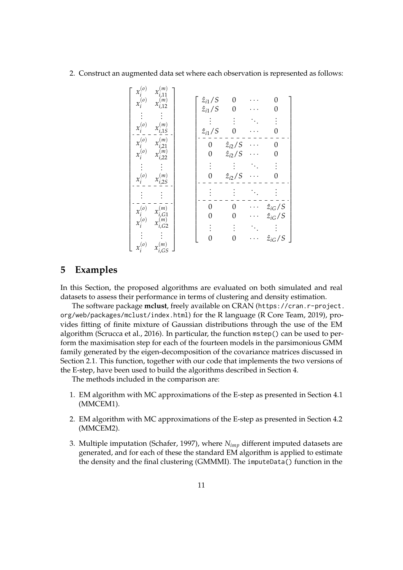2. Construct an augmented data set where each observation is represented as follows:

| $x_i^{(o)}$<br>$x_{i,11}^{(m)}$<br>$x_i^{(o)}$<br>$x_{i,12}^{(m)}$<br>$x_i^{(o)}$<br>(m)<br>$x_{i,15}$<br>$x_i^{(o)}$<br>(m)<br>$x_{i,21}$<br>$x_i^{(o)}$<br>$x_{i,22}^{(m)}$<br>$x_i^{(o)}$<br>$x_{i,2S}^{\left( m\right) }$ | $\hat{z}_{i1}/S$<br>$\hat{z}_{i1}/S$<br>$\hat{z}_{i1}/S$<br>0<br>0 | 0<br>0<br>$\hat{z}_{i2}/S$<br>$\hat{z}_{i2}/S$<br>$\hat{z}_{i2}/S$ | 0<br>0<br>0                                              |
|-------------------------------------------------------------------------------------------------------------------------------------------------------------------------------------------------------------------------------|--------------------------------------------------------------------|--------------------------------------------------------------------|----------------------------------------------------------|
| $x_i^{(\sigma)}$<br>(m)<br>$x_{i,G1}^{\backslash}$<br>$x_i^{'(o)}$<br>$x_{i,G2}^{(m)}$<br>$x_i^{(o)}$<br>$x_{i,GS}^{\left( m\right) }$                                                                                        |                                                                    | 0<br>0<br>( )                                                      | $\hat{z}_{iG}/S$<br>$\hat{z}_{iG}/S$<br>$\hat{z}_{iG}/S$ |

# **5 Examples**

In this Section, the proposed algorithms are evaluated on both simulated and real datasets to assess their performance in terms of clustering and density estimation.

The software package **mclust**, freely available on CRAN ([https://cran.r-project.](https://cran.r-project.org/web/packages/mclust/index.html) [org/web/packages/mclust/index.html](https://cran.r-project.org/web/packages/mclust/index.html)) for the R language [\(R Core Team,](#page-24-10) [2019\)](#page-24-10), provides fitting of finite mixture of Gaussian distributions through the use of the EM algorithm [\(Scrucca et al.,](#page-25-5) [2016\)](#page-25-5). In particular, the function mstep() can be used to perform the maximisation step for each of the fourteen models in the parsimonious GMM family generated by the eigen-decomposition of the covariance matrices discussed in Section [2.1.](#page-2-0) This function, together with our code that implements the two versions of the E-step, have been used to build the algorithms described in Section [4.](#page-7-3)

The methods included in the comparison are:

- 1. EM algorithm with MC approximations of the E-step as presented in Section [4.1](#page-8-1) (MMCEM1).
- 2. EM algorithm with MC approximations of the E-step as presented in Section [4.2](#page-9-2) (MMCEM2).
- 3. Multiple imputation [\(Schafer,](#page-25-3) [1997\)](#page-25-3), where *Nimp* different imputed datasets are generated, and for each of these the standard EM algorithm is applied to estimate the density and the final clustering (GMMMI). The imputeData() function in the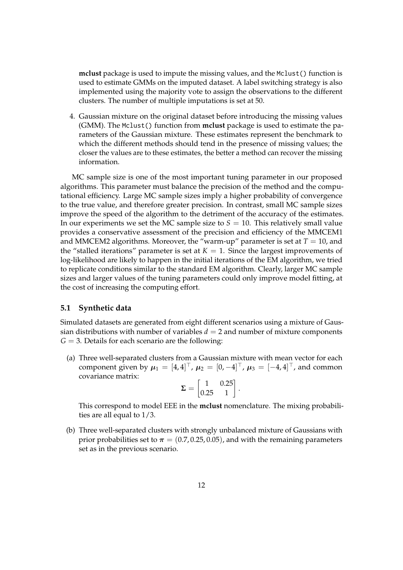**mclust** package is used to impute the missing values, and the Mclust() function is used to estimate GMMs on the imputed dataset. A label switching strategy is also implemented using the majority vote to assign the observations to the different clusters. The number of multiple imputations is set at 50.

4. Gaussian mixture on the original dataset before introducing the missing values (GMM). The Mclust() function from **mclust** package is used to estimate the parameters of the Gaussian mixture. These estimates represent the benchmark to which the different methods should tend in the presence of missing values; the closer the values are to these estimates, the better a method can recover the missing information.

MC sample size is one of the most important tuning parameter in our proposed algorithms. This parameter must balance the precision of the method and the computational efficiency. Large MC sample sizes imply a higher probability of convergence to the true value, and therefore greater precision. In contrast, small MC sample sizes improve the speed of the algorithm to the detriment of the accuracy of the estimates. In our experiments we set the MC sample size to  $S = 10$ . This relatively small value provides a conservative assessment of the precision and efficiency of the MMCEM1 and MMCEM2 algorithms. Moreover, the "warm-up" parameter is set at  $T = 10$ , and the "stalled iterations" parameter is set at  $K = 1$ . Since the largest improvements of log-likelihood are likely to happen in the initial iterations of the EM algorithm, we tried to replicate conditions similar to the standard EM algorithm. Clearly, larger MC sample sizes and larger values of the tuning parameters could only improve model fitting, at the cost of increasing the computing effort.

### **5.1 Synthetic data**

Simulated datasets are generated from eight different scenarios using a mixture of Gaussian distributions with number of variables  $d = 2$  and number of mixture components  $G = 3$ . Details for each scenario are the following:

(a) Three well-separated clusters from a Gaussian mixture with mean vector for each component given by  $\mu_1 = [4, 4]^{\top}$ ,  $\mu_2 = [0, -4]^{\top}$ ,  $\mu_3 = [-4, 4]^{\top}$ , and common covariance matrix:

$$
\boldsymbol{\Sigma} = \begin{bmatrix} 1 & 0.25 \\ 0.25 & 1 \end{bmatrix}.
$$

This correspond to model EEE in the **mclust** nomenclature. The mixing probabilities are all equal to 1/3.

(b) Three well-separated clusters with strongly unbalanced mixture of Gaussians with prior probabilities set to  $\pi = (0.7, 0.25, 0.05)$ , and with the remaining parameters set as in the previous scenario.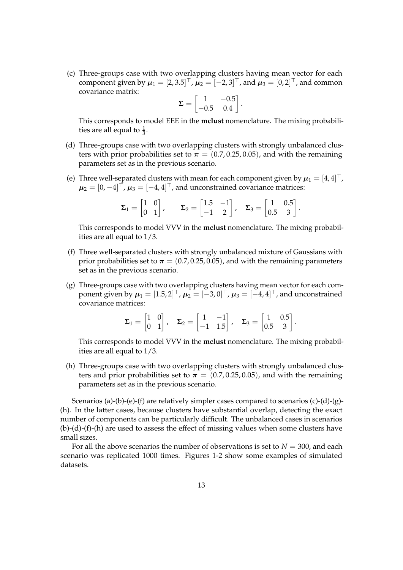(c) Three-groups case with two overlapping clusters having mean vector for each component given by  $\mu_1 = [2, 3.5]^{\top}$  ,  $\mu_2 = [-2, 3]^{\top}$ , and  $\mu_3 = [0, 2]^{\top}$ , and common covariance matrix:

$$
\Sigma = \begin{bmatrix} 1 & -0.5 \\ -0.5 & 0.4 \end{bmatrix}.
$$

This corresponds to model EEE in the **mclust** nomenclature. The mixing probabilities are all equal to  $\frac{1}{3}$ .

- (d) Three-groups case with two overlapping clusters with strongly unbalanced clusters with prior probabilities set to  $\pi = (0.7, 0.25, 0.05)$ , and with the remaining parameters set as in the previous scenario.
- (e) Three well-separated clusters with mean for each component given by  $\mu_1 = [4, 4]^{\top}$ ,  $\boldsymbol{\mu}_2 = [0, -4]^\top$ ,  $\boldsymbol{\mu}_3 = [-4, 4]^\top$ , and unconstrained covariance matrices:

$$
\Sigma_1 = \begin{bmatrix} 1 & 0 \\ 0 & 1 \end{bmatrix}, \qquad \Sigma_2 = \begin{bmatrix} 1.5 & -1 \\ -1 & 2 \end{bmatrix}, \quad \Sigma_3 = \begin{bmatrix} 1 & 0.5 \\ 0.5 & 3 \end{bmatrix}.
$$

This corresponds to model VVV in the **mclust** nomenclature. The mixing probabilities are all equal to 1/3.

- (f) Three well-separated clusters with strongly unbalanced mixture of Gaussians with prior probabilities set to  $\pi = (0.7, 0.25, 0.05)$ , and with the remaining parameters set as in the previous scenario.
- (g) Three-groups case with two overlapping clusters having mean vector for each component given by  $\boldsymbol{\mu}_1 = [1.5, 2]^\top$  ,  $\boldsymbol{\mu}_2 = [-3, 0]^\top$  ,  $\boldsymbol{\mu}_3 = [-4, 4]^\top$  , and unconstrained covariance matrices:

$$
\Sigma_1 = \begin{bmatrix} 1 & 0 \\ 0 & 1 \end{bmatrix}, \quad \Sigma_2 = \begin{bmatrix} 1 & -1 \\ -1 & 1.5 \end{bmatrix}, \quad \Sigma_3 = \begin{bmatrix} 1 & 0.5 \\ 0.5 & 3 \end{bmatrix}.
$$

This corresponds to model VVV in the **mclust** nomenclature. The mixing probabilities are all equal to 1/3.

(h) Three-groups case with two overlapping clusters with strongly unbalanced clusters and prior probabilities set to  $\pi = (0.7, 0.25, 0.05)$ , and with the remaining parameters set as in the previous scenario.

Scenarios (a)-(b)-(e)-(f) are relatively simpler cases compared to scenarios (c)-(d)-(g)- (h). In the latter cases, because clusters have substantial overlap, detecting the exact number of components can be particularly difficult. The unbalanced cases in scenarios (b)-(d)-(f)-(h) are used to assess the effect of missing values when some clusters have small sizes.

For all the above scenarios the number of observations is set to  $N = 300$ , and each scenario was replicated 1000 times. Figures [1](#page-13-0)[-2](#page-14-0) show some examples of simulated datasets.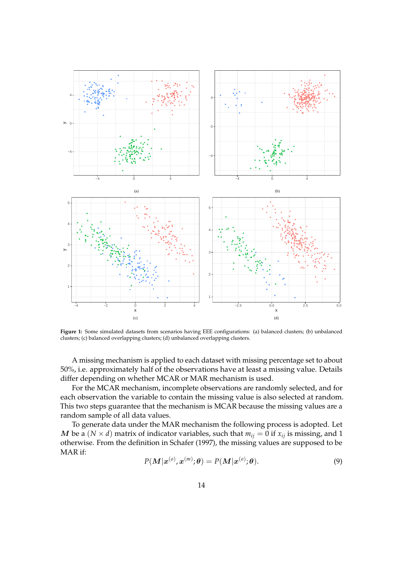<span id="page-13-0"></span>

**Figure 1:** Some simulated datasets from scenarios having EEE configurations: (a) balanced clusters; (b) unbalanced clusters; (c) balanced overlapping clusters; (d) unbalanced overlapping clusters.

A missing mechanism is applied to each dataset with missing percentage set to about 50%, i.e. approximately half of the observations have at least a missing value. Details differ depending on whether MCAR or MAR mechanism is used.

For the MCAR mechanism, incomplete observations are randomly selected, and for each observation the variable to contain the missing value is also selected at random. This two steps guarantee that the mechanism is MCAR because the missing values are a random sample of all data values.

To generate data under the MAR mechanism the following process is adopted. Let *M* be a (*N*  $\times$  *d*) matrix of indicator variables, such that  $m_{ij} = 0$  if  $x_{ij}$  is missing, and 1 otherwise. From the definition in [Schafer](#page-25-3) [\(1997\)](#page-25-3), the missing values are supposed to be MAR if:

<span id="page-13-1"></span>
$$
P(\boldsymbol{M}|\boldsymbol{x}^{(o)},\boldsymbol{x}^{(m)};\boldsymbol{\theta})=P(\boldsymbol{M}|\boldsymbol{x}^{(o)};\boldsymbol{\theta}).
$$
\n(9)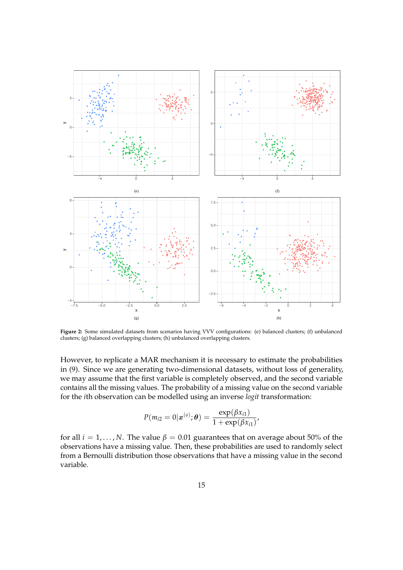<span id="page-14-0"></span>

**Figure 2:** Some simulated datasets from scenarios having VVV configurations: (e) balanced clusters; (f) unbalanced clusters; (g) balanced overlapping clusters; (h) unbalanced overlapping clusters.

However, to replicate a MAR mechanism it is necessary to estimate the probabilities in [\(9\)](#page-13-1). Since we are generating two-dimensional datasets, without loss of generality, we may assume that the first variable is completely observed, and the second variable contains all the missing values. The probability of a missing value on the second variable for the *i*th observation can be modelled using an inverse *logit* transformation:

$$
P(m_{i2} = 0 | \mathbf{x}^{(o)}; \boldsymbol{\theta}) = \frac{\exp(\beta x_{i1})}{1 + \exp(\beta x_{i1})}
$$

,

for all  $i = 1, ..., N$ . The value  $\beta = 0.01$  guarantees that on average about 50% of the observations have a missing value. Then, these probabilities are used to randomly select from a Bernoulli distribution those observations that have a missing value in the second variable.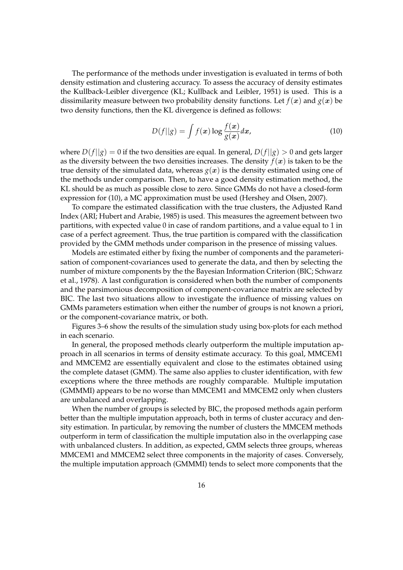The performance of the methods under investigation is evaluated in terms of both density estimation and clustering accuracy. To assess the accuracy of density estimates the Kullback-Leibler divergence (KL; [Kullback and Leibler,](#page-24-11) [1951\)](#page-24-11) is used. This is a dissimilarity measure between two probability density functions. Let  $f(x)$  and  $g(x)$  be two density functions, then the KL divergence is defined as follows:

<span id="page-15-0"></span>
$$
D(f||g) = \int f(x) \log \frac{f(x)}{g(x)} dx,
$$
\n(10)

where  $D(f||g) = 0$  if the two densities are equal. In general,  $D(f||g) > 0$  and gets larger as the diversity between the two densities increases. The density  $f(x)$  is taken to be the true density of the simulated data, whereas  $g(x)$  is the density estimated using one of the methods under comparison. Then, to have a good density estimation method, the KL should be as much as possible close to zero. Since GMMs do not have a closed-form expression for [\(10\)](#page-15-0), a MC approximation must be used [\(Hershey and Olsen,](#page-24-12) [2007\)](#page-24-12).

To compare the estimated classification with the true clusters, the Adjusted Rand Index (ARI; [Hubert and Arabie,](#page-24-13) [1985\)](#page-24-13) is used. This measures the agreement between two partitions, with expected value 0 in case of random partitions, and a value equal to 1 in case of a perfect agreement. Thus, the true partition is compared with the classification provided by the GMM methods under comparison in the presence of missing values.

Models are estimated either by fixing the number of components and the parameterisation of component-covariances used to generate the data, and then by selecting the number of mixture components by the the Bayesian Information Criterion (BIC; [Schwarz](#page-25-6) [et al.,](#page-25-6) [1978\)](#page-25-6). A last configuration is considered when both the number of components and the parsimonious decomposition of component-covariance matrix are selected by BIC. The last two situations allow to investigate the influence of missing values on GMMs parameters estimation when either the number of groups is not known a priori, or the component-covariance matrix, or both.

Figures [3–](#page-16-0)[6](#page-19-0) show the results of the simulation study using box-plots for each method in each scenario.

In general, the proposed methods clearly outperform the multiple imputation approach in all scenarios in terms of density estimate accuracy. To this goal, MMCEM1 and MMCEM2 are essentially equivalent and close to the estimates obtained using the complete dataset (GMM). The same also applies to cluster identification, with few exceptions where the three methods are roughly comparable. Multiple imputation (GMMMI) appears to be no worse than MMCEM1 and MMCEM2 only when clusters are unbalanced and overlapping.

When the number of groups is selected by BIC, the proposed methods again perform better than the multiple imputation approach, both in terms of cluster accuracy and density estimation. In particular, by removing the number of clusters the MMCEM methods outperform in term of classification the multiple imputation also in the overlapping case with unbalanced clusters. In addition, as expected, GMM selects three groups, whereas MMCEM1 and MMCEM2 select three components in the majority of cases. Conversely, the multiple imputation approach (GMMMI) tends to select more components that the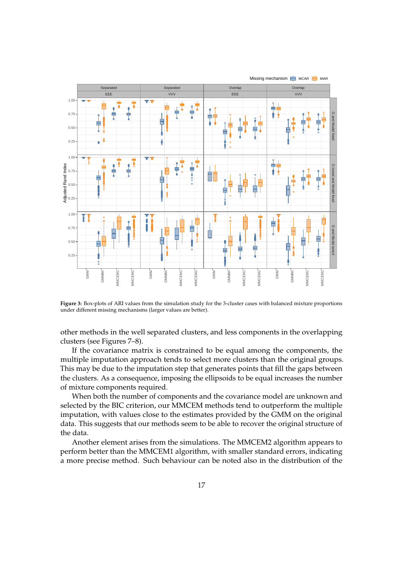<span id="page-16-0"></span>

**Figure 3:** Box-plots of ARI values from the simulation study for the 3-cluster cases with balanced mixture proportions under different missing mechanisms (larger values are better).

other methods in the well separated clusters, and less components in the overlapping clusters (see Figures [7](#page-20-0)[–8\)](#page-21-0).

If the covariance matrix is constrained to be equal among the components, the multiple imputation approach tends to select more clusters than the original groups. This may be due to the imputation step that generates points that fill the gaps between the clusters. As a consequence, imposing the ellipsoids to be equal increases the number of mixture components required.

When both the number of components and the covariance model are unknown and selected by the BIC criterion, our MMCEM methods tend to outperform the multiple imputation, with values close to the estimates provided by the GMM on the original data. This suggests that our methods seem to be able to recover the original structure of the data.

Another element arises from the simulations. The MMCEM2 algorithm appears to perform better than the MMCEM1 algorithm, with smaller standard errors, indicating a more precise method. Such behaviour can be noted also in the distribution of the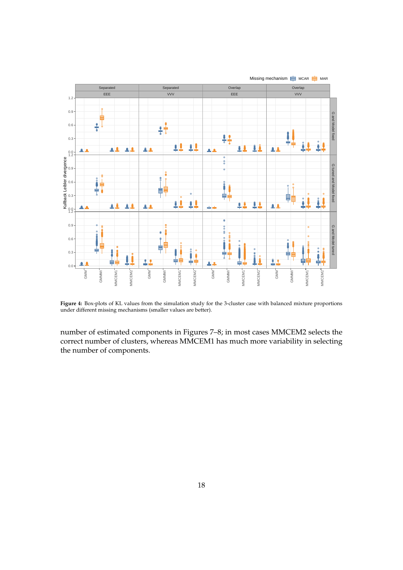

**Figure 4:** Box-plots of KL values from the simulation study for the 3-cluster case with balanced mixture proportions under different missing mechanisms (smaller values are better).

number of estimated components in Figures [7](#page-20-0)[–8;](#page-21-0) in most cases MMCEM2 selects the correct number of clusters, whereas MMCEM1 has much more variability in selecting the number of components.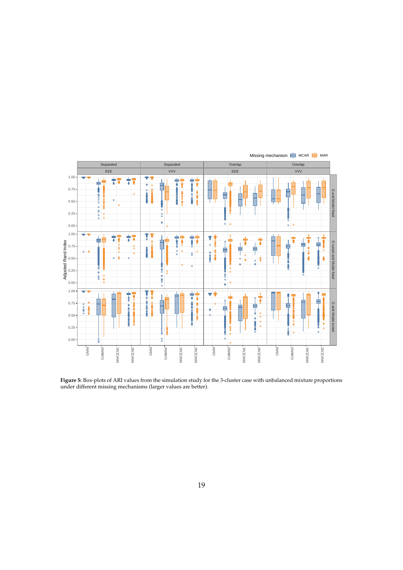

**Figure 5:** Box-plots of ARI values from the simulation study for the 3-cluster case with unbalanced mixture proportions under different missing mechanisms (larger values are better).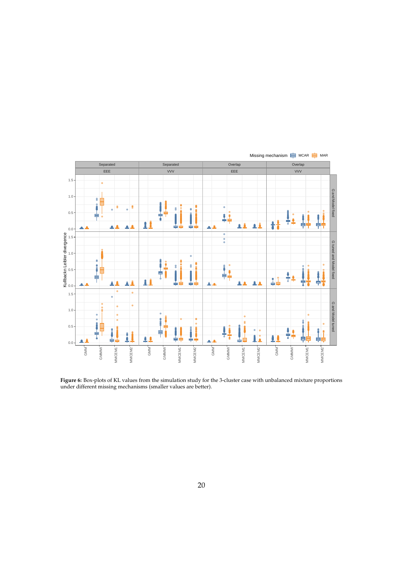<span id="page-19-0"></span>

**Figure 6:** Box-plots of KL values from the simulation study for the 3-cluster case with unbalanced mixture proportions under different missing mechanisms (smaller values are better).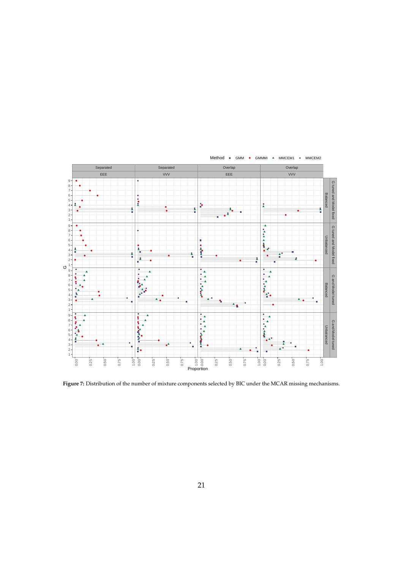<span id="page-20-0"></span>

**Figure 7:** Distribution of the number of mixture components selected by BIC under the MCAR missing mechanisms.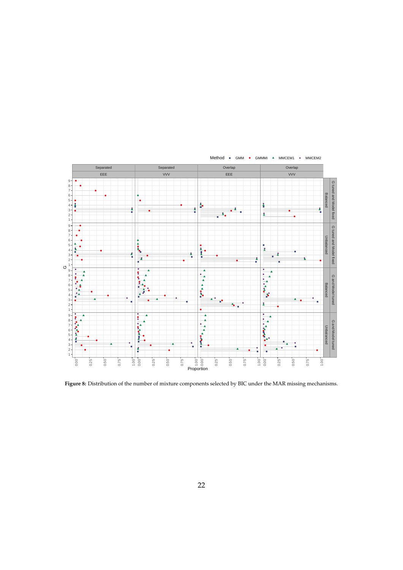<span id="page-21-0"></span>

**Figure 8:** Distribution of the number of mixture components selected by BIC under the MAR missing mechanisms.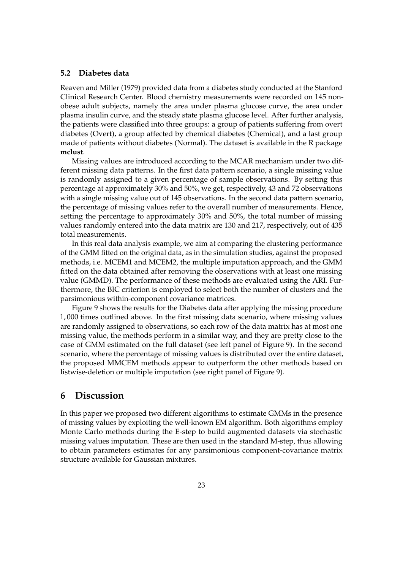### **5.2 Diabetes data**

[Reaven and Miller](#page-24-14) [\(1979\)](#page-24-14) provided data from a diabetes study conducted at the Stanford Clinical Research Center. Blood chemistry measurements were recorded on 145 nonobese adult subjects, namely the area under plasma glucose curve, the area under plasma insulin curve, and the steady state plasma glucose level. After further analysis, the patients were classified into three groups: a group of patients suffering from overt diabetes (Overt), a group affected by chemical diabetes (Chemical), and a last group made of patients without diabetes (Normal). The dataset is available in the R package **mclust**.

Missing values are introduced according to the MCAR mechanism under two different missing data patterns. In the first data pattern scenario, a single missing value is randomly assigned to a given percentage of sample observations. By setting this percentage at approximately 30% and 50%, we get, respectively, 43 and 72 observations with a single missing value out of 145 observations. In the second data pattern scenario, the percentage of missing values refer to the overall number of measurements. Hence, setting the percentage to approximately 30% and 50%, the total number of missing values randomly entered into the data matrix are 130 and 217, respectively, out of 435 total measurements.

In this real data analysis example, we aim at comparing the clustering performance of the GMM fitted on the original data, as in the simulation studies, against the proposed methods, i.e. MCEM1 and MCEM2, the multiple imputation approach, and the GMM fitted on the data obtained after removing the observations with at least one missing value (GMMD). The performance of these methods are evaluated using the ARI. Furthermore, the BIC criterion is employed to select both the number of clusters and the parsimonious within-component covariance matrices.

Figure [9](#page-23-2) shows the results for the Diabetes data after applying the missing procedure 1, 000 times outlined above. In the first missing data scenario, where missing values are randomly assigned to observations, so each row of the data matrix has at most one missing value, the methods perform in a similar way, and they are pretty close to the case of GMM estimated on the full dataset (see left panel of Figure [9\)](#page-23-2). In the second scenario, where the percentage of missing values is distributed over the entire dataset, the proposed MMCEM methods appear to outperform the other methods based on listwise-deletion or multiple imputation (see right panel of Figure [9\)](#page-23-2).

# **6 Discussion**

In this paper we proposed two different algorithms to estimate GMMs in the presence of missing values by exploiting the well-known EM algorithm. Both algorithms employ Monte Carlo methods during the E-step to build augmented datasets via stochastic missing values imputation. These are then used in the standard M-step, thus allowing to obtain parameters estimates for any parsimonious component-covariance matrix structure available for Gaussian mixtures.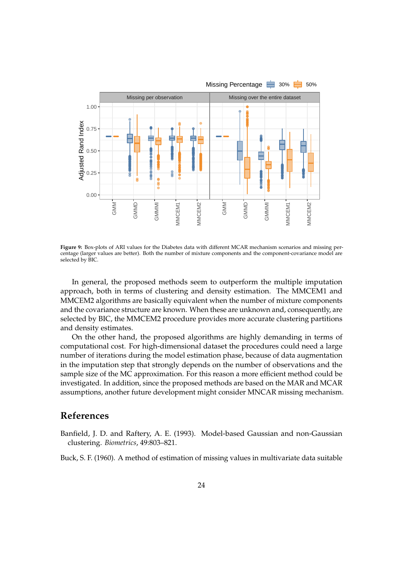<span id="page-23-2"></span>

**Figure 9:** Box-plots of ARI values for the Diabetes data with different MCAR mechanism scenarios and missing percentage (larger values are better). Both the number of mixture components and the component-covariance model are selected by BIC.

In general, the proposed methods seem to outperform the multiple imputation approach, both in terms of clustering and density estimation. The MMCEM1 and MMCEM2 algorithms are basically equivalent when the number of mixture components and the covariance structure are known. When these are unknown and, consequently, are selected by BIC, the MMCEM2 procedure provides more accurate clustering partitions and density estimates.

On the other hand, the proposed algorithms are highly demanding in terms of computational cost. For high-dimensional dataset the procedures could need a large number of iterations during the model estimation phase, because of data augmentation in the imputation step that strongly depends on the number of observations and the sample size of the MC approximation. For this reason a more efficient method could be investigated. In addition, since the proposed methods are based on the MAR and MCAR assumptions, another future development might consider MNCAR missing mechanism.

# **References**

<span id="page-23-1"></span>Banfield, J. D. and Raftery, A. E. (1993). Model-based Gaussian and non-Gaussian clustering. *Biometrics*, 49:803–821.

<span id="page-23-0"></span>Buck, S. F. (1960). A method of estimation of missing values in multivariate data suitable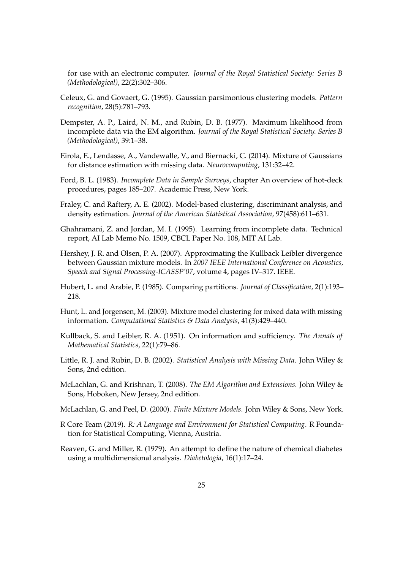for use with an electronic computer. *Journal of the Royal Statistical Society: Series B (Methodological)*, 22(2):302–306.

- <span id="page-24-5"></span>Celeux, G. and Govaert, G. (1995). Gaussian parsimonious clustering models. *Pattern recognition*, 28(5):781–793.
- <span id="page-24-2"></span>Dempster, A. P., Laird, N. M., and Rubin, D. B. (1977). Maximum likelihood from incomplete data via the EM algorithm. *Journal of the Royal Statistical Society. Series B (Methodological)*, 39:1–38.
- <span id="page-24-9"></span>Eirola, E., Lendasse, A., Vandewalle, V., and Biernacki, C. (2014). Mixture of Gaussians for distance estimation with missing data. *Neurocomputing*, 131:32–42.
- <span id="page-24-1"></span>Ford, B. L. (1983). *Incomplete Data in Sample Surveys*, chapter An overview of hot-deck procedures, pages 185–207. Academic Press, New York.
- <span id="page-24-3"></span>Fraley, C. and Raftery, A. E. (2002). Model-based clustering, discriminant analysis, and density estimation. *Journal of the American Statistical Association*, 97(458):611–631.
- <span id="page-24-6"></span>Ghahramani, Z. and Jordan, M. I. (1995). Learning from incomplete data. Technical report, AI Lab Memo No. 1509, CBCL Paper No. 108, MIT AI Lab.
- <span id="page-24-12"></span>Hershey, J. R. and Olsen, P. A. (2007). Approximating the Kullback Leibler divergence between Gaussian mixture models. In *2007 IEEE International Conference on Acoustics, Speech and Signal Processing-ICASSP'07*, volume 4, pages IV–317. IEEE.
- <span id="page-24-13"></span>Hubert, L. and Arabie, P. (1985). Comparing partitions. *Journal of Classification*, 2(1):193– 218.
- <span id="page-24-8"></span>Hunt, L. and Jorgensen, M. (2003). Mixture model clustering for mixed data with missing information. *Computational Statistics & Data Analysis*, 41(3):429–440.
- <span id="page-24-11"></span>Kullback, S. and Leibler, R. A. (1951). On information and sufficiency. *The Annals of Mathematical Statistics*, 22(1):79–86.
- <span id="page-24-0"></span>Little, R. J. and Rubin, D. B. (2002). *Statistical Analysis with Missing Data*. John Wiley & Sons, 2nd edition.
- <span id="page-24-7"></span>McLachlan, G. and Krishnan, T. (2008). *The EM Algorithm and Extensions*. John Wiley & Sons, Hoboken, New Jersey, 2nd edition.
- <span id="page-24-4"></span>McLachlan, G. and Peel, D. (2000). *Finite Mixture Models*. John Wiley & Sons, New York.
- <span id="page-24-10"></span>R Core Team (2019). *R: A Language and Environment for Statistical Computing*. R Foundation for Statistical Computing, Vienna, Austria.
- <span id="page-24-14"></span>Reaven, G. and Miller, R. (1979). An attempt to define the nature of chemical diabetes using a multidimensional analysis. *Diabetologia*, 16(1):17–24.